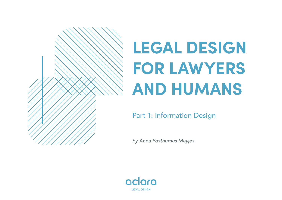# **LEGAL DESIGN FOR LAWYERS AND HUMANS**

Part 1: Information Design

*by Anna Posthumus Meyjes*

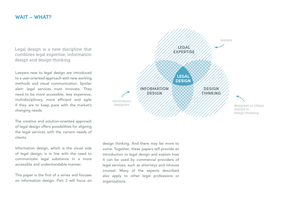#### **WAIT – WHAT?**

Legal design is a new discipline that combines legal expertise, information design and design thinking.

Lawyers new to legal design are introduced to a user-oriented approach with new working methods and visual communication. Spoiler alert: legal services must innovate. They need to be more accessible, less expensive, multidisciplinary, more efficient and agile if they are to keep pace with the market's changing needs.

The creative and solution-oriented approach of legal design offers possibilities for aligning the legal services with the current needs of clients.

Information design, which is the visual side of legal design, is in line with the need to communicate legal substance in a more accessible and understandable manner.

This paper is the first of a series and focuses on information design. Part 2 will focus on



design thinking. And there may be more to come. Together, these papers will provide an introduction to legal design and explain how it can be used by commercial providers of legal services, such as attorneys and inhouse counsel. Many of the aspects described also apply to other legal professions or organizations.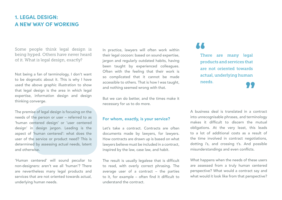## **1. LEGAL DESIGN: A NEW WAY OF WORKING**

Some people think legal design is being hyped. Others have never heard of it. What is legal design, exactly?

Not being a fan of terminology, I don't want to be dogmatic about it. This is why I have used the above graphic illustration to show that legal design is the area in which legal expertise, information design and design thinking converge.

The premise of legal design is focusing on the needs of the person or user – referred to as 'human centered design' or 'user centered design' in design jargon. Leading is the aspect of 'human centered': what does the user of the service or product need? This is determined by assessing actual needs, latent and otherwise.

'Human centered' will sound peculiar to non-designers: aren't we all 'human'? There are nevertheless many legal products and services that are not oriented towards actual, underlying human needs.

In practice, lawyers will often work within their legal cocoon: based on sound expertise, jargon and regularly outdated habits, having been taught by experienced colleagues. Often with the feeling that their work is so complicated that it cannot be made accessible to others. That is how I was taught, and nothing seemed wrong with that.

But we can do better, and the times make it necessary for us to do more.

#### For whom, exactly, is your service?

Let's take a contract. Contracts are often documents made by lawyers, for lawyers. How contracts are drawn up is based on what lawyers believe must be included in a contract, inspired by the law, case law, and habit.

The result is usually legalese that is difficult to read, with overly correct phrasing. The average user of a contract – the parties to it, for example – often find it difficult to understand the contract.

There are many legal products and services that are not oriented towards actual, underlying human needs.

A business deal is translated in a contract into unrecognisable phrases, and terminology makes it difficult to discern the mutual obligations. At the very least, this leads to a lot of additional costs as a result of the time involved in contract negotiations, dotting i's, and crossing t's. And possible misunderstandings and even conflicts.

What happens when the needs of these users are assessed from a truly human centered perspective? What would a contract say and what would it look like from that perspective?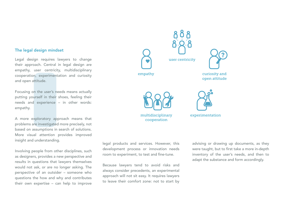#### The legal design mindset

Legal design requires lawyers to change their approach. Central in legal design are empathy, user centricity, multidisciplinary cooperation, experimentation and curiosity and open attitude.

Focusing on the user's needs means actually putting yourself in their shoes, feeling their needs and experience – in other words: empathy.

A more exploratory approach means that problems are investigated more precisely, not based on assumptions in search of solutions. More visual attention provides improved insight and understanding.

Involving people from other disciplines, such as designers, provides a new perspective and results in questions that lawyers themselves would not ask, or are no longer asking. The perspective of an outsider – someone who questions the how and why and contributes their own expertise – can help to improve



legal products and services. However, this development process or innovation needs room to experiment, to test and fine-tune.

Because lawyers tend to avoid risks and always consider precedents, an experimental approach will not sit easy. It requires lawyers to leave their comfort zone: not to start by advising or drawing up documents, as they were taught, but to first take a more in-depth inventory of the user's needs, and then to adapt the substance and form accordingly.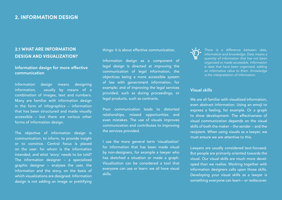### **2.1 WHAT ARE INFORMATION DESIGN AND VISUALIZATION?**

#### Information design for more effective communication

Information design means designing information, usually by means of a combination of images, text and numbers. Many are familiar with information design in the form of infographics – information that has been structured and made visually accessible – but there are various other forms of information design.

The objective of information design is communication: to inform, to provide insight or to convince. Central focus is placed on the user: for whom is the information intended, and what 'story' needs to be told? The information designer – a specialized graphic designer – analyses the user, the information and the story, on the basis of which visualizations are designed. Information design is not adding an image or prettifying

things: it is about effective communication.

Information design as a component of legal design is directed at improving the communication of legal information, the objectives being a more accessible system of law with government information, for example; and of improving the legal services provided, such as during proceedings, or legal products, such as contracts.

Poor communication leads to distorted relationships, missed opportunities and even mistakes. The use of visuals improves communication and contributes to improving the services provided.

I use the more general term 'visualization' for information that has been made visual by non-designers, for example a lawyer who has sketched a situation or made a graph. Visualization can be considered a tool that everyone can use or learn: we all have visual skills.

*There is a difference between data, information and knowledge. Data means a quantity of information that has not been organized or made accessible. Information is data that have been organized, adding an informative value to them. Knowledge is the interpretation of information.*

#### Visual skills

We are all familiar with visualized information. even abstract information. Using an emoji to express a feeling, for example. Or a graph to show development. The effectiveness of visual communication depends on the visual skills of both the maker – the sender – and the recipient. When using visuals as a lawyer, we must ensure we are attentive to this.

Lawyers are usually considered text-focused. But people are primarily oriented towards the visual. Our visual skills are much more developed than we realise. Working together with information designers calls upon those skills. Developing your visual skills as a lawyer is something everyone can learn – or rediscover.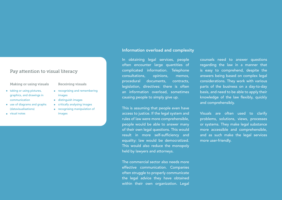#### Pay attention to visual literacy

#### Making or using visuals

- taking or using pictures, graphics, and drawings in communication
- use of diagrams and graphs (datavisualisations)
- **visual notes**

#### Receiving visuals

- **•** recognising and remembering images
- distinguish images
- **•** critically analysing images
- **•** recognising manipulation of images

#### Information overload and complexity

In obtaining legal services, people often encounter large quantities of complicated information. Telephone consultations, opinions, memos, procedural documents, contracts, legislation, directives: there is often an information overload, sometimes causing people to simply give up.

This is assuming that people even have access to justice. If the legal system and rules of law were more comprehensible, people would be able to answer many of their own legal questions. This would result in more self-sufficiency and equality: law would be democratized. This would also reduce the monopoly held by lawyers and attorneys.

The commercial sector also needs more effective communication. Companies often struggle to properly communicate the legal advice they have obtained within their own organization. Legal

counsels need to answer questions regarding the law in a manner that is easy to comprehend, despite the answers being based on complex legal considerations. They work with various parts of the business on a day-to-day basis, and need to be able to apply their knowledge of the law flexibly, quickly and comprehensibly.

Visuals are often used to clarify problems, solutions, views, processes or systems. They make legal substance more accessible and comprehensible, and as such make the legal services more user-friendly.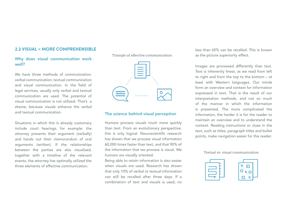#### **2.2 VISUAL = MORE COMPREHENSIBLE**

#### Why does visual communication work well?

We have three methods of communication: verbal communication, textual communication and visual communication. In the field of legal services, usually only verbal and textual communication are used. The potential of visual communication is not utilized. That's a shame, because visuals enhance the verbal and textual communication.

Situations in which this is already customary include court hearings, for example: the attorney presents their argument (verbally) and hands out their memorandum of oral arguments (written). If the relationships between the parties are also visualized, together with a timeline of the relevant events, the attorney has optimally utilized the three elements of effective communication.

Triangle of effective communication



#### The science behind visual perception

Humans process visuals much more quickly than text. From an evolutionary perspective, this is only logical. Neuroscientific research has shown that we process visual information 60,000 times faster than text, and that 90% of the information that we process is visual. We humans are visually oriented.

Being able to retain information is also easier when visuals are used. Research has shown that only 10% of verbal or textual information can still be recalled after three days. If a combination of text and visuals is used, no

less than 65% can be recalled. This is known as the picture superiority effect.

Images are processed differently than text. Text is inherently linear, as we read from left to right and from the top to the bottom – at least with Western languages. Our minds form an overview and context for information expressed in text. That is the result of our interpretation methods, and not so much of the manner in which the information is presented. The more complicated the information, the harder it is for the reader to maintain an overview and to understand the context. Reading instructions or clues in the text, such as titles, paragraph titles and bullet points, make navigation easier for the reader.

#### Textual vs. visual communication



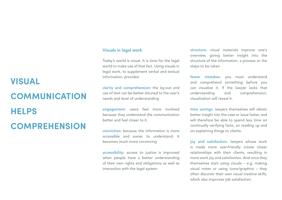#### Visuals in legal work

Today's world is visual. It is time for the legal world to make use of that fact. Using visuals in legal work, to supplement verbal and textual information, provides:

clarity and comprehension: the lay-out and use of text can be better attuned to the user's needs and level of understanding

engagement: users feel more involved because they understand the communication better and feel closer to it

conviction: because the information is more accessible and easier to understand, it becomes much more convincing

accessibility: access to justice is improved when people have a better understanding of their own rights and obligations as well as interaction with the legal system

structure: visual materials improve one's overview, giving better insight into the structure of the information, a process or the steps to be taken

fewer mistakes: you must understand and comprehend something before you can visualize it. If the lawyer lacks that understanding and comprehension, visualization will reveal it.

time savings: lawyers themselves will obtain better insight into the case or issue faster, and will therefore be able to spend less time on continually verifying facts, on reading up and on explaining things to clients.

joy and satisfaction: lawyers whose work is made more user-friendly create closer relationships with their clients, resulting in more work joy and satisfaction. And once they themselves start using visuals – e.g. making visual notes or using icons/graphics – they often discover their own visual creative skills, which also improves job satisfaction.

## **VISUAL COMMUNICATION HELPS COMPREHENSION**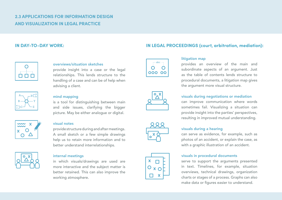### **2.3 APPLICATIONS FOR INFORMATION DESIGN AND VISUALIZATION IN LEGAL PRACTICE**



#### X A a b

B C

e f

Y Z



#### overviews/situation sketches

provide insight into a case or the legal relationships. This lends structure to the handling of a case and can be of help when advising a client.

#### mind mapping

is a tool for distinguishing between main and side issues, clarifying the bigger picture. May be either analogue or digital.

#### visual notes

provide structure during and after meetings. A small sketch or a few simple drawings help us to retain more information and to better understand interrelationships.

#### internal meetings

in which visuals/drawings are used are more interactive and the subject matter is better retained. This can also improve the working atmosphere.

#### **IN DAY-TO-DAY WORK: IN LEGAL PROCEEDINGS (court, arbitration, mediation):**







#### litigation map

provides an overview of the main and subordinate aspects of an argument. Just as the table of contents lends structure to procedural documents, a litigation map gives the argument more visual structure.

#### visuals during negotiations or mediation

can improve communication where words sometimes fail. Visualizing a situation can provide insight into the parties' perspectives, resulting in improved mutual understanding.

#### visuals during a hearing

can serve as evidence, for example, such as photos of an accident, or explain the case, as with a graphic illustration of an accident.

#### visuals in procedural documents

serve to support the arguments presented in text. Timelines, for example, situation overviews, technical drawings, organization charts or stages of a process. Graphs can also make data or figures easier to understand.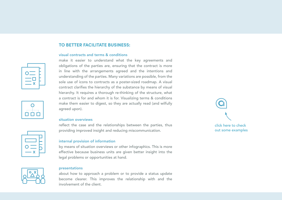#### **TO BETTER FACILITATE BUSINESS:**

#### visual contracts and terms & conditions





#### internal provision of information

by means of situation overviews or other infographics. This is more effective because business units are given better insight into the legal problems or opportunities at hand.

reflect the case and the relationships between the parties, thus providing improved insight and reducing miscommunication.

make it easier to understand what the key agreements and obligations of the parties are, ensuring that the contract is more in line with the arrangements agreed and the intentions and understanding of the parties. Many variations are possible, from the sole use of icons to contracts as a poster-sized roadmap. A visual contract clarifies the hierarchy of the substance by means of visual hierarchy. It requires a thorough re-thinking of the structure, what a contract is for and whom it is for. Visualizing terms & conditions make them easier to digest, so they are actually read (and wilfully



#### presentations

agreed upon).

situation overviews

about how to approach a problem or to provide a status update become clearer. This improves the relationship with and the involvement of the client.



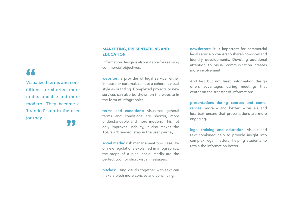#### **MARKETING, PRESENTATIONS AND EDUCATION**

Information design is also suitable for realising commercial objectives:

websites: a provider of legal service, either in-house or external, can use a coherent visual style as branding. Completed projects or new services can also be shown on the website in the form of infographics.

terms and conditions: visualized general terms and conditions are shorter, more understandable and more modern. This not only improves usability, it also makes the T&C's a 'branded' step in the user journey.

social media: risk management tips, case law or new regulations explained in infographics, the steps of a plan: social media are the perfect tool for short visual messages.

pitches: using visuals together with text can make a pitch more concise and convincing.

newsletters: it is important for commercial legal service providers to share know-how and identify developments. Devoting additional attention to visual communication creates more involvement.

And last but not least: information design offers advantages during meetings that center on the transfer of information:

presentations during courses and conferences: more – and better! – visuals and less text ensure that presentations are more engaging.

legal training and education: visuals and text combined help to provide insight into complex legal matters, helping students to retain the information better.

## **AA**

Visualized terms and conditions are shorter, more understandable and more modern. They become a 'branded' step in the user journey.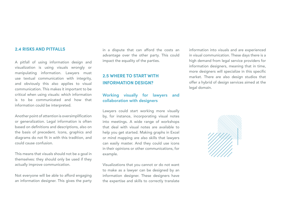#### **2.4 RISKS AND PITFALLS**

A pitfall of using information design and visualization is using visuals wrongly or manipulating information. Lawyers must use textual communication with integrity, and obviously this also applies to visual communication. This makes it important to be critical when using visuals: which information is to be communicated and how that information could be interpreted.

Another point of attention is oversimplification or generalization. Legal information is often based on definitions and descriptions, also on the basis of precedent. Icons, graphics and diagrams do not fit in with this tradition, and could cause confusion.

This means that visuals should not be a goal in themselves: they should only be used if they actually improve communication.

Not everyone will be able to afford engaging an information designer. This gives the party in a dispute that can afford the costs an advantage over the other party. This could impact the equality of the parties.

### **2.5 WHERE TO START WITH INFORMATION DESIGN?**

#### Working visually for lawyers and collaboration with designers

Lawyers could start working more visually by, for instance, incorporating visual notes into meetings. A wide range of workshops that deal with visual notes are available to help you get started. Making graphs in Excel or mind mapping are also skills that lawyers can easily master. And they could use icons in their opinions or other communications, for example.

Visualizations that you cannot or do not want to make as a lawyer can be designed by an information designer. These designers have the expertise and skills to correctly translate

information into visuals and are experienced in visual communication. These days there is a high demand from legal service providers for information designers, meaning that in time, more designers will specialize in this specific market. There are also design studios that offer a hybrid of design services aimed at the legal domain.